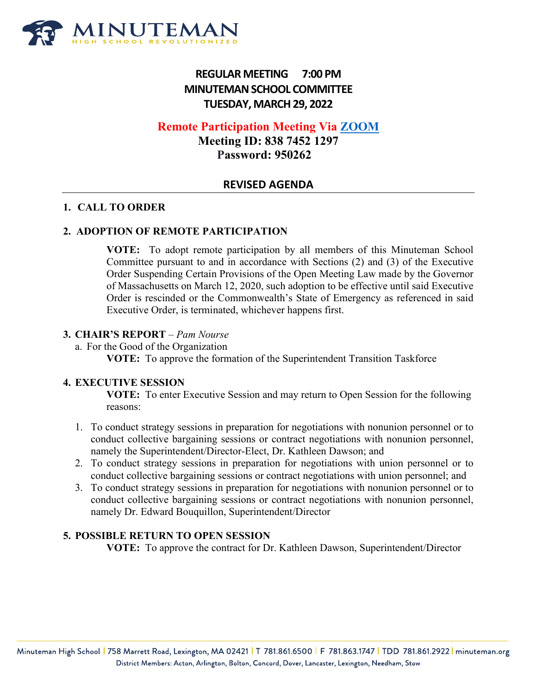

# **REGULAR MEETING 7:00 PM MINUTEMAN SCHOOL COMMITTEE TUESDAY, MARCH29, 2022**

## **Remote Participation Meeting Via [ZOOM](mailto:biglerup@gmail.com;%20kirthana829@gmail.com;%20silvabrisbin@gmail.com;%20Bolduc,%20Sarah%20%3csbolduc@minuteman.org%3e;%20Bouchard,%20Kathleen%20%3ckbouchard@minuteman.org%3e;%20ketkideshmukh@gmail.com;%20mhenneberry@labbb.net;%20meaghan.henneberry@gmail.com;%20kawilliams@gmail.com;%20Griffin,%20Nina%20%3cNGriffin@minuteman.org%3e;%20nina.e.griffin@gmail.com;%20Joncas,%20Joseph%20%3cjjoncas@minuteman.org%3e;%20Lilburn,%20Jack%20%3cJLilburn@minuteman.org%3e;%20jack.lilburn@mac.com;%20Moffitt-Jenkins,%20Carey%20%3ccmoffittjenkins@minuteman.org%3e;%20Moffitt-Jenkins,%20Carey%20%3ccmoffittjenkins@minuteman.org%3e;%20neha01.naik@gmail.com;%20sheilacordner@gmail.com;%20jperrotti80@gmail.com;%20Plater,%20Heather%20%3chplater@minuteman.org%3e)**

**Meeting ID: 838 7452 1297 Password: 950262**

## **REVISED AGENDA**

### **1. CALL TO ORDER**

### **2. ADOPTION OF REMOTE PARTICIPATION**

**VOTE:** To adopt remote participation by all members of this Minuteman School Committee pursuant to and in accordance with Sections (2) and (3) of the Executive Order Suspending Certain Provisions of the Open Meeting Law made by the Governor of Massachusetts on March 12, 2020, such adoption to be effective until said Executive Order is rescinded or the Commonwealth's State of Emergency as referenced in said Executive Order, is terminated, whichever happens first.

#### **3. CHAIR'S REPORT** – *Pam Nourse*

- a. For the Good of the Organization
	- **VOTE:** To approve the formation of the Superintendent Transition Taskforce

#### **4. EXECUTIVE SESSION**

**VOTE:** To enter Executive Session and may return to Open Session for the following reasons:

- 1. To conduct strategy sessions in preparation for negotiations with nonunion personnel or to conduct collective bargaining sessions or contract negotiations with nonunion personnel, namely the Superintendent/Director-Elect, Dr. Kathleen Dawson; and
- 2. To conduct strategy sessions in preparation for negotiations with union personnel or to conduct collective bargaining sessions or contract negotiations with union personnel; and
- 3. To conduct strategy sessions in preparation for negotiations with nonunion personnel or to conduct collective bargaining sessions or contract negotiations with nonunion personnel, namely Dr. Edward Bouquillon, Superintendent/Director

### **5. POSSIBLE RETURN TO OPEN SESSION**

**VOTE:** To approve the contract for Dr. Kathleen Dawson, Superintendent/Director